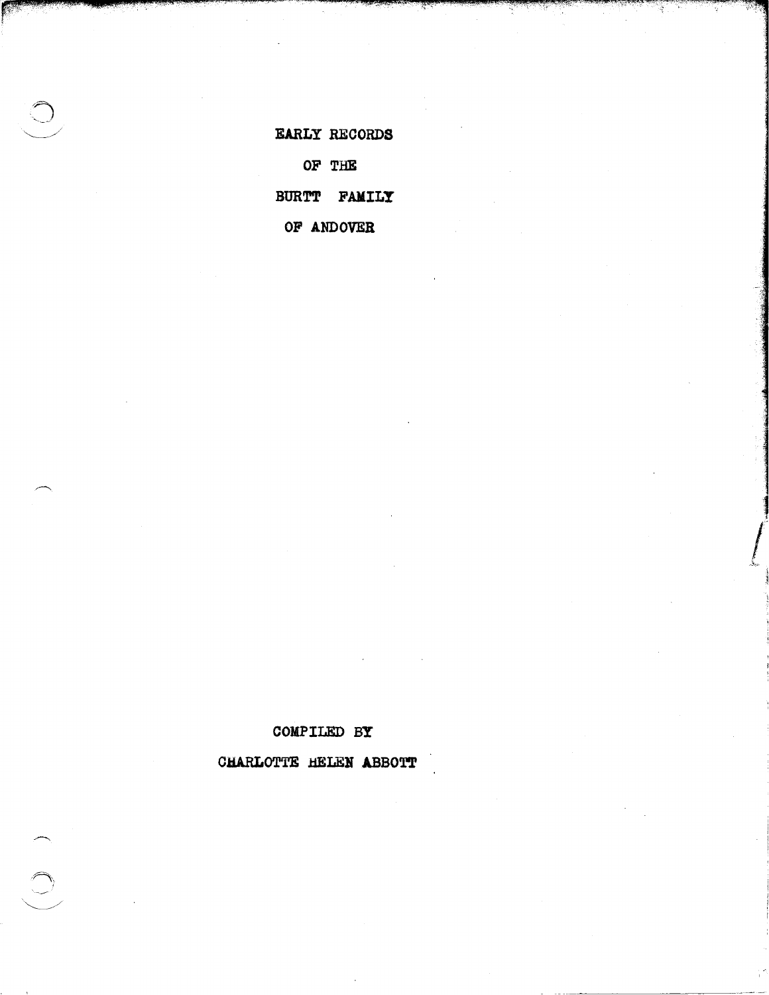**EARLY RECORDS OF THE BURTT FAMILY OF ANDOVER** 

**All Service** 

+#;:, .. )\$% .. ;:;;;::2 *,.,&WJ?\*"i!\$* ' \_\_ *\_ AAii!&t; :q:·'=''''\*hN¥,\*!q@.{:\*,?;-?,-••* ;b}-;~~P'~~'''f-~~:·~''''''~~~;F',;~~~'""= ..... ,'!"o

: ' ×

**COMPILED BY** 

**CHARLOTTE HELEN ABBOTT**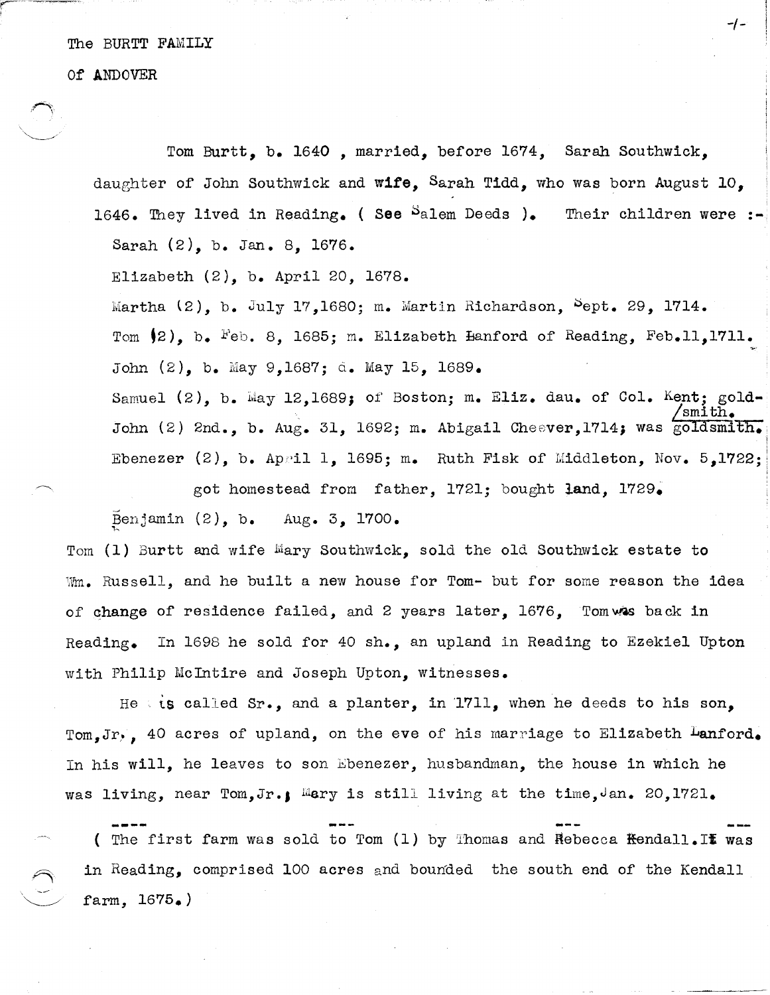The BURTT FAMILY

Of' ANDOVER

Tom Burtt, b. 1640, married, before 1674, Sarah Southwick, daughter of John Southwick and wife, Sarah Tidd, who was born August 10. 1646. They lived in Reading. (See  $S$ alem Deeds ). Sarah (2), b. Jan. 8, 1676. Their children were :-

Elizabeth (2), b. April 20, 1678.

Martha  $(2)$ , b. July 17,1680; m. Martin Richardson,  $5$ ept. 29, 1714. Tom  $(2)$ , b. Feb. 8, 1685; m. Elizabeth Hanford of Reading, Feb.11,1711. John (2), b. May 9,1687; d. May 15, 1689.

Samuel (2), b. May 12,1689; of Boston; m. Eliz. dau. of Col. Kent; gold-/smith. John (2) 2nd., b. Aug. 31, 1692; m. Abigail Cheever,1714; was goldsmith. Ebenezer (2), b. April 1, 1695; m. Ruth Fisk of Middleton, Nov.  $5,1722$ ;

got homestead from father, 1721; bought land, 1729.

Benjamin  $(2)$ , b. Aug. 3, 1700.

Tom (1) Burtt and wife Mary Southwick, sold the old Southwick estate to Wm. Russell, and he built a new house for Tom- but for some reason the idea of change of residence failed, and 2 years later, 1676, Tomwas back in Reading. In 1698 he sold for 40 sh., an upland in Reading to Ezekiel Upton with Philip McIntire and Joseph Upton, witnesses.

He ts called Sr., and a planter, in 1711, when he deeds to his son, Tom.Jr., 40 acres of upland, on the eve of his marriage to Elizabeth Lanford. In his will, he leaves to son Ebenezer, husbandman, the house in which he was living, near Tom, Jr., Mary is still living at the time, Jan. 20,1721.

( The first farm was sold to Tom  $(1)$  by Thomas and Rebecca <del>K</del>endall.II was in Reading, comprised 100 acres and bounded the south end of the Kendall  $farm, 1675.)$ 

-/-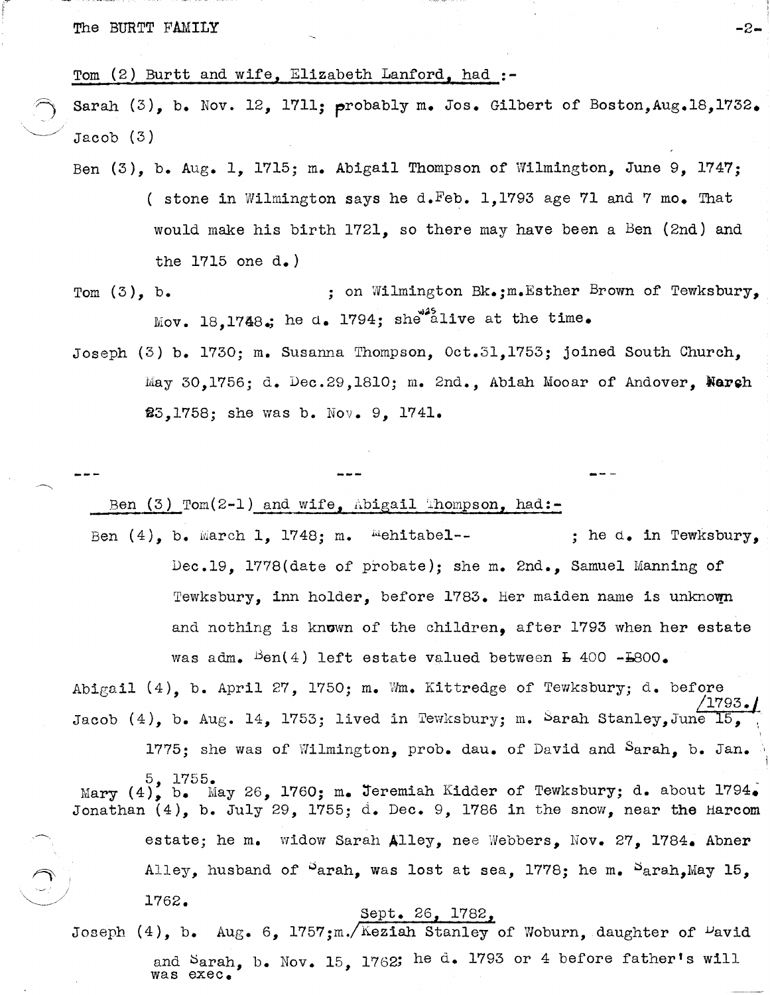The BURTT FAMILY  $-2-$ 

Tom (2) Burtt and wife, Elizabeth Lanford, had **:-**

Sarah (3), b. Nov. 12, 1711; probably m. Jos. Gilbert of Boston, Aug. 18, 1732. Jacob (3)

Ben (3), b. Aug. 1, 1715; m. Abigail Thompson of Wilmington, June 9, 1747; ( stone in Wilmington says he d. Feb. 1,1793 age 71 and 7 mo. That would make his birth 1721, so there may have been a Ben (2nd) and the 1715 one d.)

Tom (3), b.  $\qquad \qquad ; \quad \text{on} \quad \text{Wilmington Bk.}; \text{m.Esther Brown of} \quad \text{Tewksbury.}$ Mov. 18,1748.; he d. 1794; she<sup>42</sup>alive at the time.

Joseph (3) b. 1730; m. Susanna Thompson, Oct.31,1753; joined South Church, May 30,1756; d. Dec.29,1810; m. 2nd., Abiah Mooar of Andover, Warsh 23,1758; she was b. Nov. 9, 1741.

Ben  $(3)$  Tom $(2-1)$  and wife, abigail Thompson, had:-

Ben  $(4)$ , b. March 1, 1748; m. "ehitabel-- ; he d. in Tewksbury, Dec.19, 1778(date of probate); she m. 2nd., Samuel Manning of Tewksbury, inn holder, before  $1783$ . Her maiden name is unknown and nothing is known of the children. after 1793 when her estate was adm. <sup>B</sup>en(4) left estate valued between **b** 400 -**b**800.

Abigail (4), b. April 27, 1750; m. Wm. Kittredge of Tewksbury; d. before  $/1793.$ Jacob (4), b. Aug. 14, 1753; lived in Tewksbury; m. Sarah Stanley, June 15,

1775; she was of Wilmington, prob. dau. of David and Sarah, b. Jan. 5, 1755. Mary  $(4)$ ,  $b$ . May 26, 1760; m. Jeremiah Kidder of Tewksbury; d. about 1794. Jonathan (4), b. July 29, 1755; d. Dec. 9, 1786 in the snow, near the Harcom

> estate; he m. widow Sarah Alley, nee Webbers, Nov. 27, 1784. Abner Alley, husband of  $S$ arah, was lost at sea, 1778; he m.  $S$ arah,May 15, 1762.

1

### Sept. 26, 1782,

Joseph  $(4)$ , b. Aug. 6, 1757;m./Keziah Stanley of Woburn, daughter of <sup>D</sup>avid and Sarah, b. Nov. 15, 1762; he d. 1793 or 4 before father's will was exec.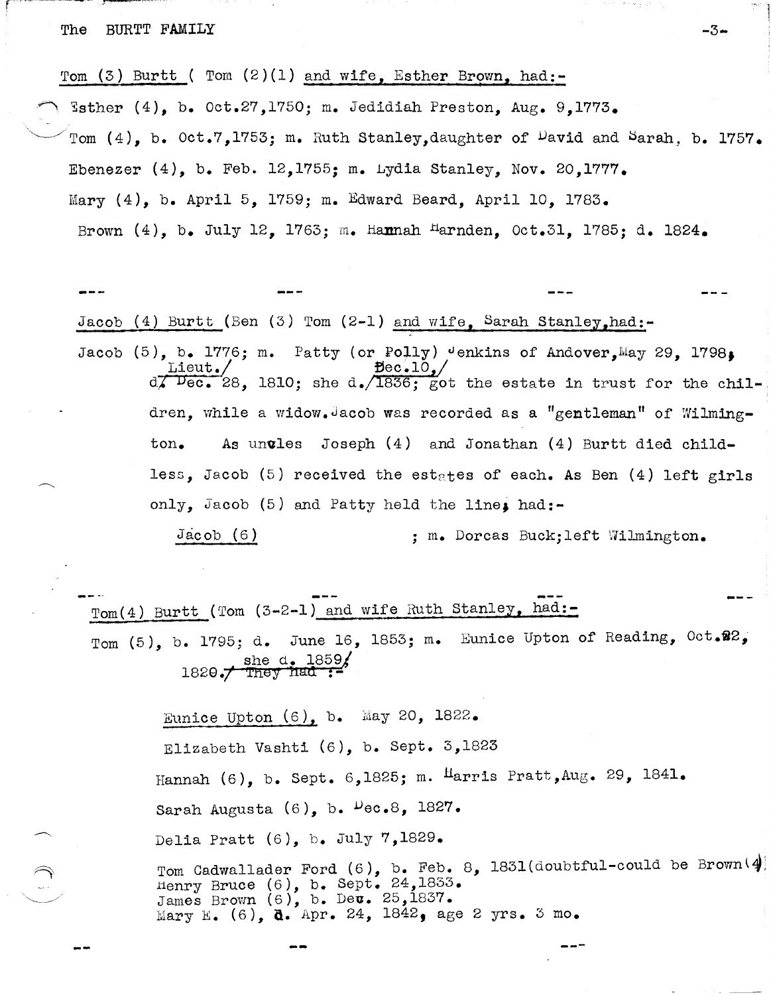#### The BURTT FAMILY  $-3-$

Tom (3) Burtt ( Tom  $(2)(1)$  and wife, Esther Brown, had:-.~ ~sther (4), b. Oct.27,1750; m. Jedidiah Preston, Aug. 9,1773. Tom (4), b. Oct.7,1753; m. Ruth Stanley, daughter of  $\nu$ avid and Sarah, b. 1757. Ebenezer  $(4)$ , b. Feb. 12,1755: m. Lydia Stanley, Nov. 20,1777. Mary (4), b. April 5, 1759; m. Edward Beard, April 10, 1783. Brown  $(4)$ , b. July 12, 1763; m. Hannah Harnden, Oct.31, 1785; d. 1824.

-, 1

Jacob (4) Burtt (Ben  $(3)$  Tom  $(2-1)$  and wife. Sarah Stanley.had:-Jacob (5), b. 1776; m. Patty (or Polly) Jenkins of Andover, May 29, 1798;<br>Lieut./<br> $\theta$  $d\vec{\lambda}$  Dec. 28, 1810; she d.  $\sqrt{1836}$ ; got the estate in trust for the children, while a widow. Jacob was recorded as a "gentleman" of Wilmington. As un**v**les Joseph (4) and Jonathan (4) Burtt died childless, Jacob (5) received the estates of each. As Ben (4) left girls only, Jacob  $(5)$  and Patty held the line, had:-Jacob (6) ; m. Dorcas Buck; left Wilmington.

 $Tom(4)$  Burtt (Tom  $(3-2-1)$  and wife Ruth Stanley, had:-Tom  $(5)$ , b. 1795; d. June 16, 1853; m. Eunice Upton of Reading, Oct.22, she d. 1859/<br>1820./ They had :-

> Eunice Upton  $(6)$ , b. May 20, 1822. Elizabeth Vashti (6), b. Sept. 3,1823 Hannah (6), b. Sept. 6,1825; m. Harris Pratt, Aug. 29, 1841. Sarah Augusta  $(6)$ , b.  $Pec.8$ , 1827. Delia Pratt (6), b. July 7,1829.

Tom Cadwallader Ford  $(6)$ , b. Feb. 8, 1831(doubtful-could be Brown  $(4)$ : Henry Bruce  $(6)$ , b. Sept.  $24,1833$ . James Brown  $(6)$ , b. Dev. 25,1837. Mary E. (6), d. Apr. 24, 1842, age 2 yrs. 3 mo.

---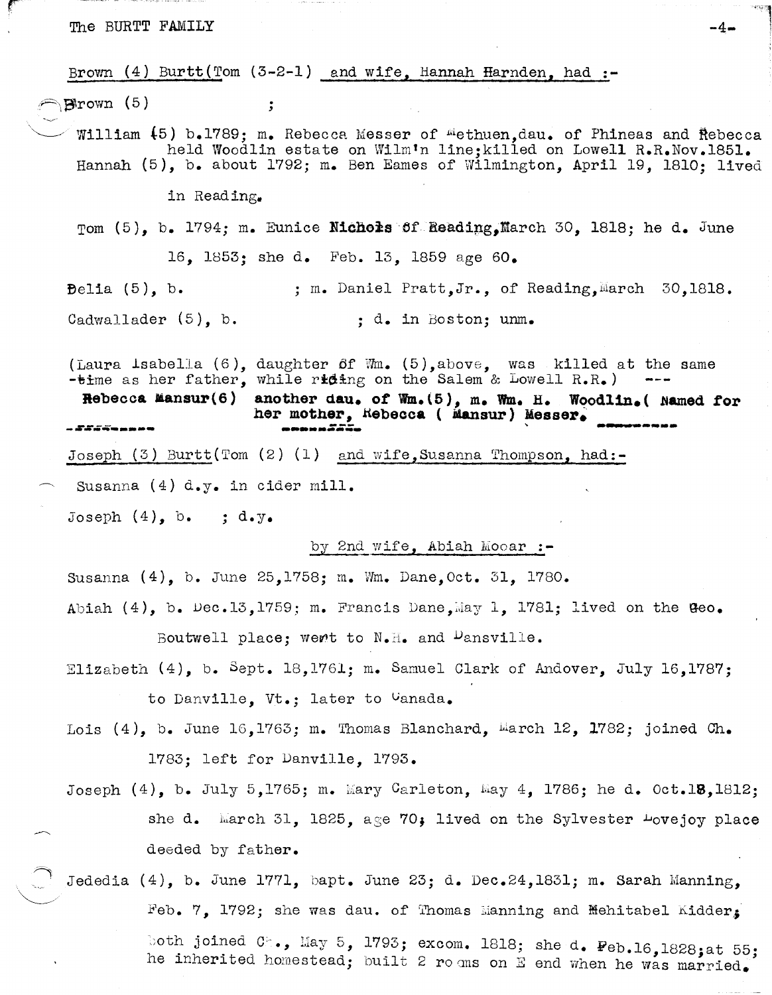The BURTT FAMILY  $-4-$ 

Brown  $(4)$  Burtt(Tom  $(3-2-1)$  and wife, Hannah Harnden, had :-

 $\bigcap$ Brown (5)

William (5) b.1789; m. Rebecca Messer of "ethuen,dau. of Phineas and Rebecca held Woodlin estate on Wilm'n line;killed on Lowell R.R.Nov.1851. Hannah (5), b. about 1792; m. Ben Eames of Wilmington, April 19, 1810; lived

149428

in Reading.

Tom  $(5)$ , b. 1794; m. Eunice Nichols of Reading, March 30, 1818; he d. June

16. 1853: she d. Feb. 13, 1859 age 60.

Belia  $(5)$ , b. Cadwallader (5), b. ; m. Daniel Pratt.Jr., of Reading.March 30.1818. ; d. in Boston; unm.

(Laura Isabella (6),  $-$ time as her father, daughter of  $W_m$ . (5),above, was killed at the same while riding on the Salem & Lowell R.R.)

Rebecca Mansur(6) another dau. of **Wm.** (5), m. Wm. H. Woodlin. ( Named for her mother, Hebecca ( Mansur) Messer. -~---=--- <sup>~</sup>**---** -~--- - *225 -* 40 - 50 - 50 - 50 - 50

Joseph  $(3)$  Burtt(Tom  $(2)$   $(1)$  and wife, Susanna Thompson, had:-

Susanna  $(4)$  d.y. in cider mill.

Joseph  $(4)$ , b. ; d.y.

by 2nd wife, Abiah Mooar :-

Susanna (4), b. June 25,1758; m. Wm. Dane,Oct. 31, 1780.

Abiah  $(4)$ , b. Dec.13,1759; m. Francis Dane, $\bar{u}$ ay 1, 1781; lived on the Geo. Boutwell place; went to  $N_{\bullet}H_{\bullet}$  and  $D$ ansville.

Elizabeth (4), b. Sept. 18,1761; m. Samuel Clark of Andover, July 16,1787; to Danville, vt.; later to vanada.

Lois  $(4)$ , b. June 16,1763; m. Thomas Blanchard, Warch 12, 1782; joined Ch. 1783; left for Danville, 1793.

Joseph  $(4)$ , b. July 5,1765; m. Mary Carleton, May 4, 1786; he d. Oct.18,1812; she d. karch 31, 1825, age 70; lived on the Sylvester  $\frac{1}{2}$ ovejoy place deeded by father.

 $\curvearrowright$  .  $\textcolor{red}{\textstyle\bigcup}$ Jededia (4), b. June 1771, bapt. June 23; d. Dec.24,1831; m. Sarah Manning, Feb. 7. 1792; she was dau. of Thomas Manning and Mehitabel Kidder, both joined C<sub>-</sub>., May 5, 1793; excom. 1818; she d.  $Peb.16,1828$ ; at 55; he inherited homestead; built 2 ro ans on E end when he was married.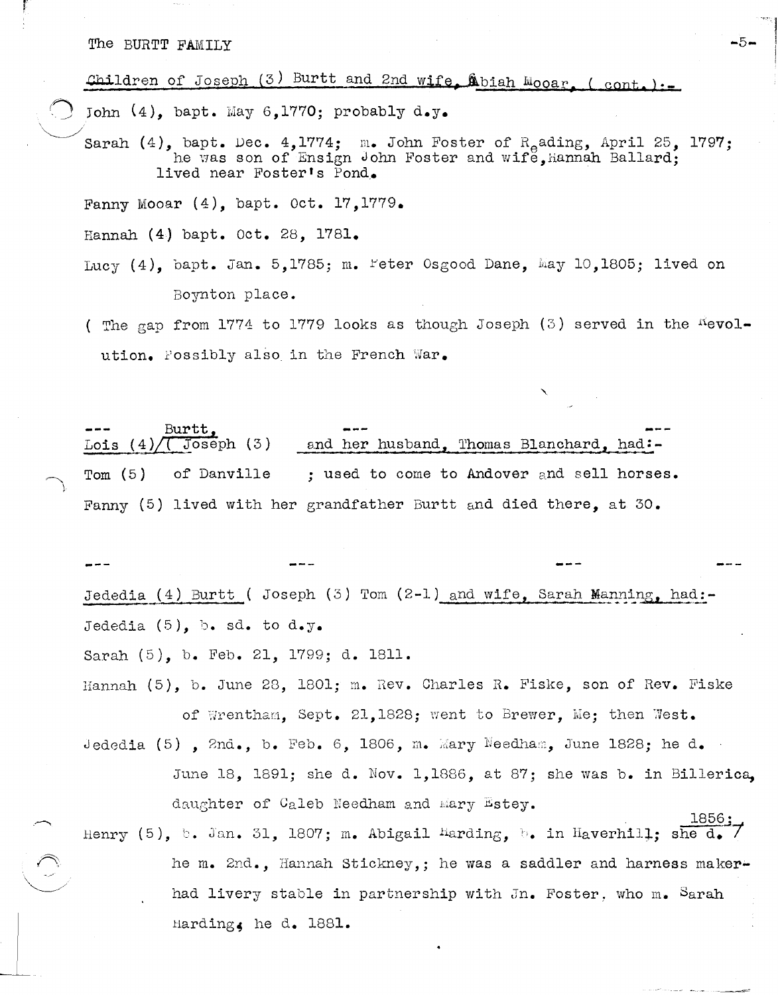## The BURTT FAMILY  $-5-$

f' *r* 

### Children of Joseph (3) Burtt and 2nd wife, Abiah Mooar, (cont.):

John  $(4)$ , bapt. May 6,1770; probably d.y.

 $\bigcup$ Sarah (4), bapt. Dec. 4,1774; m. John Foster of  $R_{e}$ ading, April 25, 1797; he was son of Ensign John Foster and wife, hannah Ballard; lived near Foster's Pond.

Fanny Mooar  $(4)$ , bapt. Oct. 17, 1779.

Hannah (4) bapt. Oct. 28, 1781.

- Lucy  $(4)$ , bapt. Jan. 5,1785; m. Feter Osgood Dane, May 10,1805; lived on Boynton place.
- ( The gap from 1774 to 1779 looks as though Joseph (3) served in the  $4$ evolution. Possibly also in the French War.

 $\frac{3}{2}$  =  $\frac{3}{4}$  =  $\frac{3}{4}$  =  $\frac{3}{4}$  =  $\frac{3}{4}$  =  $\frac{3}{4}$  =  $\frac{3}{4}$  =  $\frac{1}{4}$  =  $\frac{1}{4}$  =  $\frac{1}{4}$  =  $\frac{1}{4}$  =  $\frac{1}{4}$  =  $\frac{1}{4}$  =  $\frac{1}{4}$  =  $\frac{1}{4}$  =  $\frac{1}{4}$  =  $\frac{1}{4}$  =  $\frac{1}{4}$  =  $\frac{1$ and her husband, Thomas Blanchard, had:-Tom  $(5)$  of Danville ; used to come to Andover and sell horses. Fanny (5) lived with her grandfather Burtt and died there, at 30.

Jededia (4) Burtt ( Joseph (3) Tom (2-1) and wife, Sarah Manning, had:-Jededia  $(5)$ , b. sd. to d.y.

Sarah (5), b. Feb. 21, 1799; d. 1811.

- Hannah (5), b. June 28, 1801; m. Rev. Charles H. Fiske, son of Hev. Fiske of Wrentham, Sept. 21,1828; went to Brewer, Me; then West.
- Jededia (5),  $2nd., b.$  Feb. 6, 1806,  $m.$  Mary Needham, June 1828; he d. June 18, 1891; she d. Nov. 1,1886, at 87; she was b. in Billerica, daughter of Caleb Needham and mary Estey.
- Henry (5), b. Jan. 31, 1807; m. Abigail Harding, in Haverhill; she d.  $\frac{1856}{\sqrt{2}}$ he m. 2nd., Hannah Stickney,; he was a saddler and harness makerhad livery stable in partnership with  $Jn$ . Foster, who m. Sarah Harding, he d.  $1881.$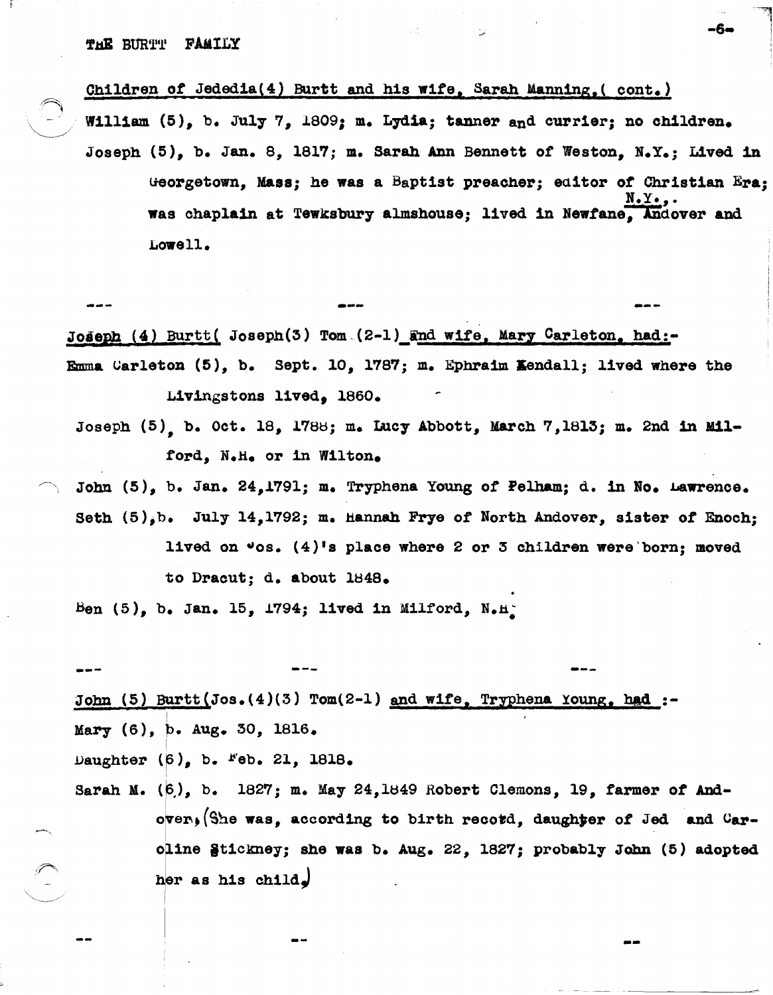$\sim$ 

Children of Jededia(4) Burtt and his wife, Sarah Manning,(  $cont.$ ) William (5), b. July 7,  $1809$ ; m. Lydia; tanner and currier; no children. Joseph (5), b. Jan. 8, 1817; m. Sarah Ann Bennett of Weston, N.Y.; Lived in ueorgetown, Mass; he was a Baptist preacher; eaitor *or* Christian Era;  $N.Y.,$ was chaplain at Tewksbury almshouse; lived in Newfane, Andover and Lowell.

--- Joseph (4) Burtt( Joseph(3) Tom.(2-1) and wife, Mary Carleton. had:-Emma  $\mathtt{Carleton}$  (5), b. Sept. 10, 1787; m. Ephraim Kendall; lived where the Livingstons lived, 1860.

Joseph (5), b. Oct. 18, 178e; m. Luc7 Abbott, March 7,1813; m. 2nd in Milford, N.H. or in Wilton.

John (5), b. Jan. 24,1791; m. Tryphena Young of Pelham; d. in No. Lawrence. Seth (5)jb. Ju17 14,1792; m. Hannah Frye *ot* Horth Andover, sister of' Enoch; lived on  $\texttt{cos.}$  (4)'s place where 2 or 3 children were born; moved to Dracut; d. about  $1848.$ 

Ben (5), b. Jan. 15, 1794; lived in Milford,  $N_{\bullet}H_{\bullet}^{*}$ 

--- --- John (5) Burtt(Jos.(4)(3) Tom(2-1) and wife, Tryphena Young, had :-Mary  $(6)$ , b. Aug. 30, 1816. Daughter  $(6)$ , b.  $Feb$ . 21, 1818.

Sarah M. (6), b. 1827; m. May 24,1849 Robert Clemons, 19, farmer of Andover.. (She was, according to birth record, daughter of Jed and Car-I oline §tickney; she was b. Aug. 22, 1827; probably John (5) adopted her as his child.

--

-6-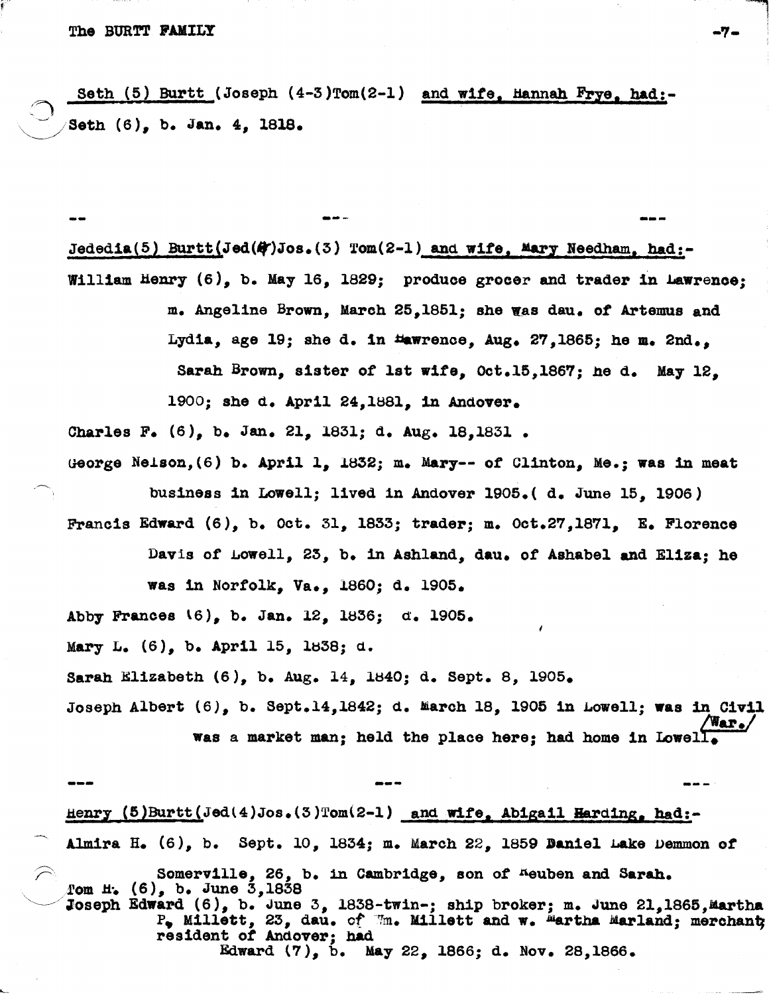# The BURTT POlLY .,-

Seth  $(5)$  Burtt (Joseph  $(4-3)$ Tom $(2-1)$  and wife, Hannah Frye, had:-Seth  $(6)$ , b. Jan.  $4$ , 1818.

.-- --- Jededia(5) Burtt(Jed( $A$ )Jos.(3) Tom(2-1) and wife, Mary Needham. had:-William Henry  $(6)$ , b. May 16, 1829; produce grocer and trader in Lawrence; m. Angeline Brown, March 25,1851; she was dau. *ot* Artemus and Lydia, age 19; she d. in  $t$ awrence, Aug. 27,1865; he m. 2nd., Sarah Brown, sister *ot* 1st wite, Oct.1S,lS6'; he d. May 12, 1900; she d. April 24,18S1, in Andover.

Charles F. (6), b. Jan. 21, 1831; d. Aug. 18,1831.

ueorge Nelson,(6) b. April 1, 1832; m. Mary-- of Clinton, Me.; was in meat business in Lowell; lived in Andover 1905.( d. June 15. 1906)

Franois Edward (6), b. Oot. 31, lS33; trader; m. Oot.27,lS71, E. Florence Davis of Lowell,  $23$ , b. in Ashland, dau. of Ashabel and Eliza; he was in Norfolk, Va., 1860; d. 1905.

Abby Frances \6), b. Jan. 12, 1836; *d. 1905.* 

Mary  $L_6$  (6), b. April 15, 1838; d.

. ~.

Sarah Elizabeth (6), b. Aug. 14, 1840; d. Sept. 8, 1905.

Joseph Albert  $(6)$ , b. Sept.14,1842; d. March 18, 1905 in Lowell; was in Civil was a market man; held the place here; had home in Lowell

Henry (5)Burtt(Jed(4)Jos.(3)Tom(2-1) and wife, Abigail Harding, had:-Almira H. (6), b. Sept. 10, 1834; m. Maroh 22, 1859 Daniel Lake vemmon *ot*  ~. Somerville, 26, b. in CambrIdge, son *ot* Aeuben aDd Sarah. . fom H. (6), b. June 3,lS38 Joseph Edward  $(6)$ , b. June 3, 1838-twin-; ship broker; m. June 21,1865, Martha  $P_{\bullet}$  Millett, 23, dau. of  $\mathbb{m}_{\bullet}$  Millett and w. Martha Marland; merchant resident *ot* Andover; had Edward (7), b. May 22, lS66; d. Nov. 28,1866 •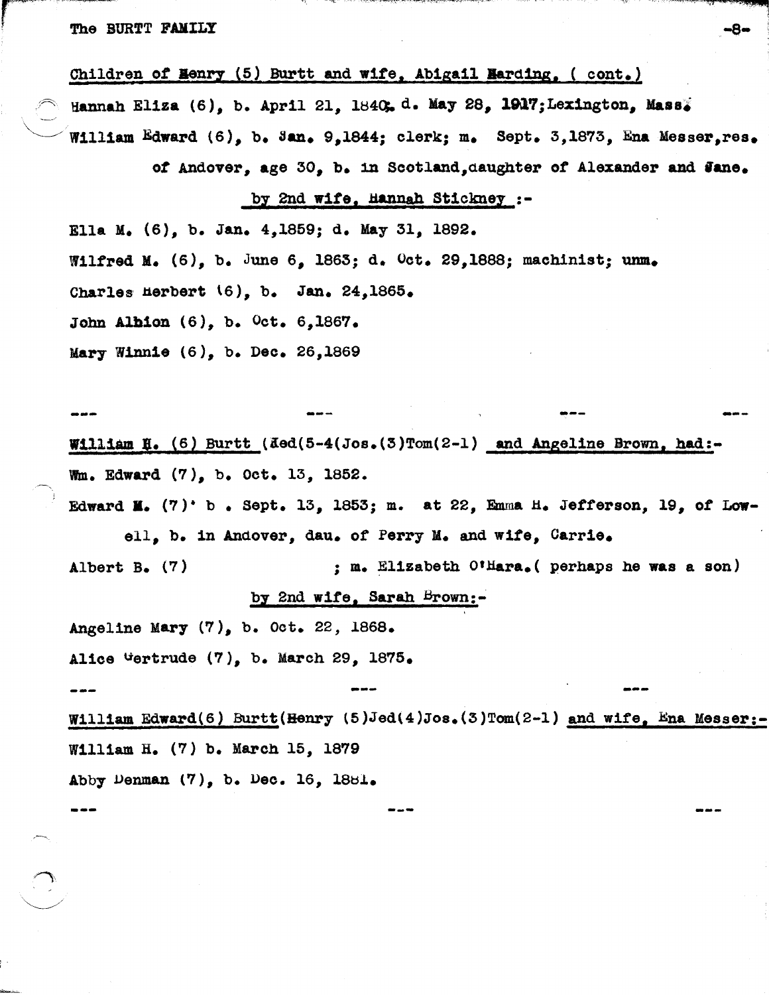#### The BURTT FAMILY  $-8-$

Children of **Henry** (5) Burtt and wife, Abigail Harding, ( cont.)

Hannah Eliza (6), b. April 21, 1840, d. May 28, 1917; Lexington, Mass. William Edward  $(6)$ , b. Jan. 9,1844; clerk; m. Sept. 3,1873, Ena Messer, res.

of Andover, age 30, b. in Scotland, daughter of Alexander and Jane.

**---** -~- ~--

--- ---

### by 2nd wife, Hannah Stickney :-

Ella M. (6), b. Jan. 4,1859; d. May 31, 1892. Wilfred M. (6), b. June 6, 1863; d. Oct. 29,1888; machinist; unm. Charles Herbert  $(6)$ , b. Jan. 24,1865. John Albion (6), b. Oct. 6,1867. Mary Winnie (6), b. Dec. 26,1869

William H. (6) Burtt (ded(5-4(Jos.(3)Tom(2-1) and Angeline Brown, had:wm. Edward (7), b. Oct. 13, 1852.

Edward **M.** (7)· b • Sept. 13, 1853; m. at 22, Emma H. Jefferson, 19, *ot* Lowell, b. in Andover, dau. of Perry M. and wife, Carrie.

Albert B. (7) ; m. Elizabeth O'Hara. ( perhaps he was a son) by 2nd  $\texttt{wife}$ , Sarah Brown:-

Angeline Mary  $(7)_s$  b. Oct. 22, 1868.

Alice Gertrude (7), b. March 29, 1875.

--

William Edward(6) Burtt(Henry (5)Jed(4)Jos.(3)Tom(2-1) and wife, Ena Messer: William H. (7) b. March 15, 1879 Abby Denman  $(7)$ , b. Dec. 16, 1881.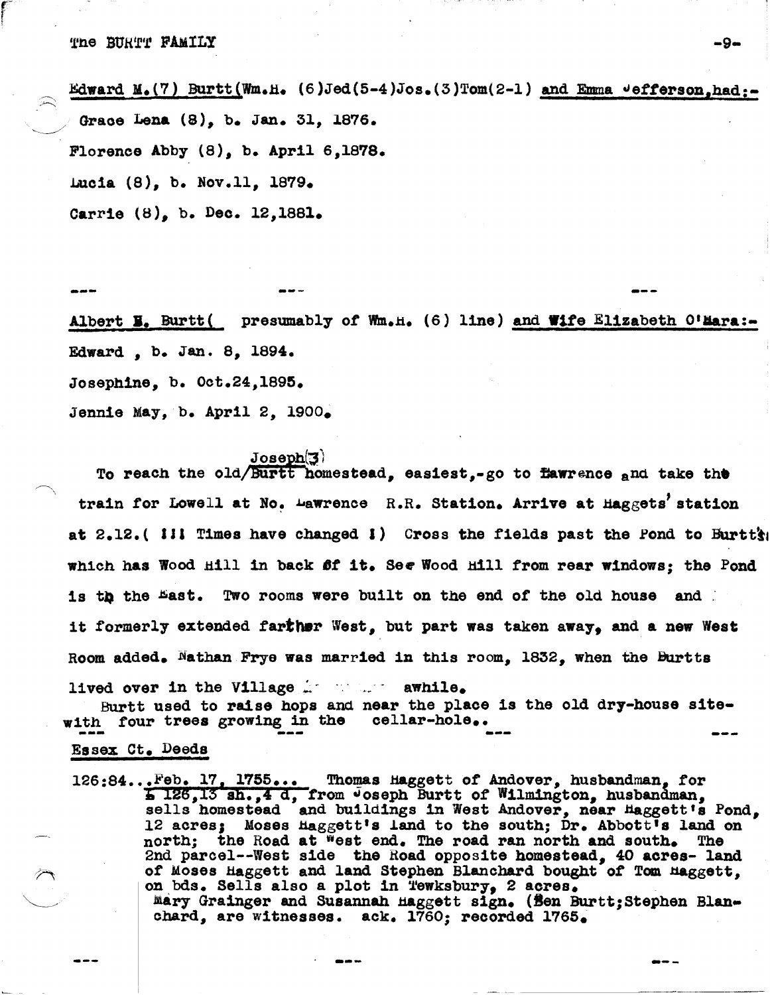Edward M.(7) Burtt(Wm.H.  $(6)$ Jed(5-4)Jos.(3)Tom(2-1) and Emma  $\vee$ efferson,had:-Grace Lena (8), b. Jan. 31, 1876. Florence Abby (8), b. April 6,1878. Lucia  $(8)$ , b. Nov.11, 1879. Carrie (8), b. Dec. 12,1881.

 $\epsilon^$ r<br>Fransk skriver<br>Fransk skriver

:<br>:<br>:

--- ---

Albert  $\Xi$ . Burtt( presumably of Wm.H. (6) line) and Wife Elizabeth O'Hara:-Edward, b. Jan. 8, 1894. Josephine, b. Oct.24,1893. Jennie May, b. April 2, 1900.

*<i>Joseph*(3)

To reach the old/Burtt homestead, easiest,-go to  $r_{\text{a}}$  and take the train for Lowell at No. Lawrence R.R. Station. Arrive at Haggets' station at  $2.12.$  (111 Times have changed 1) Cross the fields past the Pond to Burtt's which has Wood Hill in back ff it. See Wood Hill from rear windows; the Pond is the the East. Two rooms were built on the end of the old house and  $-$ 1t formerly extended farther West, but part was taken away. and a new West Room added. Nathan Frye was married in this room. 1832. when the Burtts

lived over in the Village in the swhile. Burtt used to raise hops and near the place is the old dry-house site-

with four trees growing in the cellar-hole.<br>Essex Ct. Deeds

126:84...Feb. 17, 1755... Thomas Haggett of Andover, husbandman, for 1906, 17, 17906... Includes haggert of Andover, husbandman, 1917 sells homestead and buildings in West Andover, near Haggett's Pond, 12 acres; Moses Haggett's land to the south; Dr. Abbott's land on north; the Road at West end. The road ran north and south. The 2nd parcel--West side the Road opposite homestead, 40 acres- land of Moses Haggett and land Stephen Blanchard bought of Tom Haggett, on bds. Sells also a plot in Tewksbury, 2 acres. mary Grainger and Susannah maggett sign. (Sen Burtt;Stephen Blanchard, are witnesses. ack. 1760; recorded 1765.

--- ---

- -~-------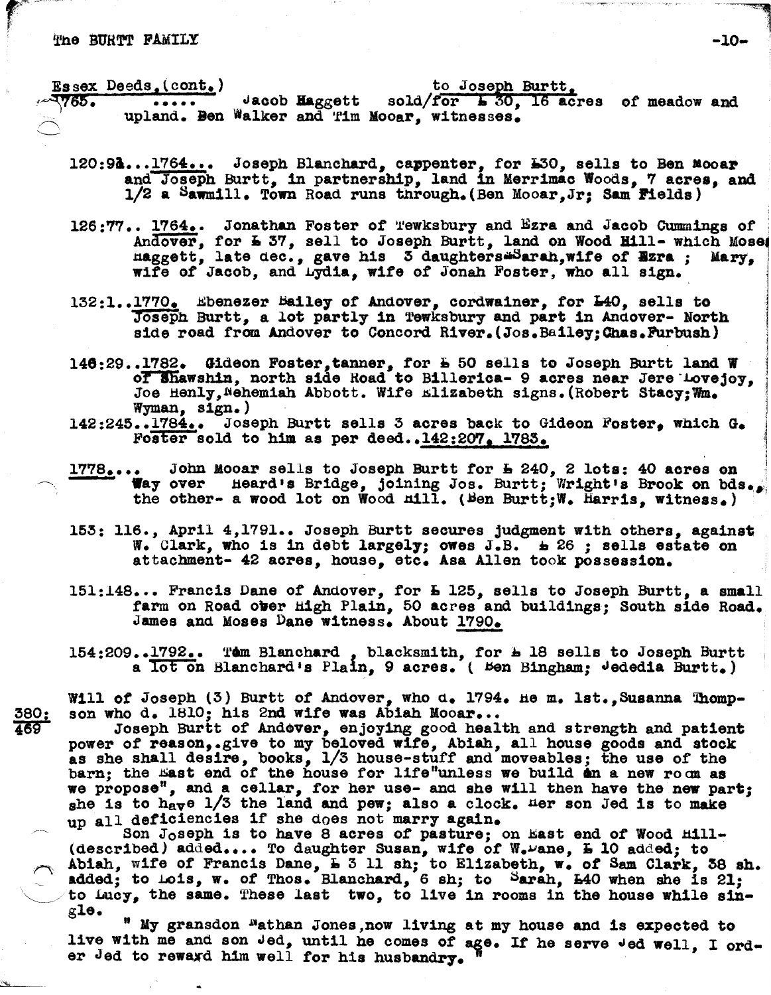#### The BURTT FAMILY

 $r_{\rm{eff}}$   $\sim$ 

Essex Deeds.(cont.)<br>2765. ..... Jacob Haggett sold/for 130.16 act  $\cdots$  dacob Haggett sold/for  $\frac{1}{2}$  30. 16 acres of meadow and upland. Ben Walker and Tim Mooar, witnesses.

- 120:94...1764... Joseph Blanchard, cappenter, for  $50$ , sells to Ben Mooar and Joseph Burtt, in partnership, land in Merrimac Woods, 7 acres, and 1/2 a Sawm1l1. Town Road. runs tnrough.(Ben Mooar,Jr; Sam Pields)
- 126:77.. 1764.. Jonathan Foster of *Tewksbury* and Ezra and Jacob Cummings of . Andover, for **E** 37, sell to Joseph Burtt, land on Wood **Hill-** which Mose. naggett, late dec., gave his 3 daughters.Sarah, wife of **Bzra**; Mary, wife of Jaoob, and Lydia, w1fe of Jonah Foster, who all sign.
- 132:1..1770. Ebenezer Bailey of Andover, cordwainer, for L40, sells to Joseph Burtt, a lot partly in Tewksbury and part in Andover- North side road from Andover to Concord River. (Jos. Bailey: Chas. Furbush)
- 146:29..1782. Gideon Foster, tanner, for  $\frac{1}{2}$  50 sells to Joseph Burtt land W of Shawshin, north side Road to Billerica- 9 acres near Jere Lovejoy,<br>Joe Henly, Wehemiah Abbott. Wife Elizabeth signs. (Robert Stacy; Wm.<br>Wyman, sign.)<br>142:245..1784.. Joseph Burtt sells 3 acres back to Gideon Foster, whi
- $142:245 \cdot .1784 \cdot .$  Joseph Burtt sells 3 acres back to Gideon Foster, which  $G_{\bullet}$  Foster sold to him as per deed..142:207. 1783.
- $1778...$  John Mooar sells to Joseph Burtt for  $\frac{1}{2}$  240, 2 lots: 40 acres on Way over Heard's Bridge, joining Jos. Burtt; Wright's Brook on bds. the other- a wood lot on Wood  $m11.$  (Ben Burtt;W. Harris, witness.)
- 153: 116., April 4,1791.. Joseph Burtt secures judgment with others, against W. Clark, who is in debt largely; owes J.B.  $\pm$  26 ; sells estate on attacbment- 42 acres, house, etc. Asa Allen took possesslon.
- 151:148... Francis Dane of Andover, for L 125, sells to Joseph Burtt, a small farm on Road over High Plain, 50 acres and buildings; South side Road. James and Moses Dane witness. About 1790.
- 154:209..1792.. Tem Blanchard, blacksmith, for L 18 sells to Joseph Burtt a lot on Blanchard's Plain. 9 acres. ( Ben Bingham: Jededia Burtt.)

Will of Joseph (3) Burtt of Andover, who d. 1794. He m. lst., Susanna Thomp-<br>son who d. 1810: his 2nd wife was Abiah Mooar...

380: son who d. 1810; his 2nd wife was Abiah Mooar...<br>469 Joseph Burtt of Andover, enjoying good health and strength and patient power of reason,.give to my beloved wife, Abiah, all house goods and stock as she shall des1re, books, 1/3 house-stuff and moveables; the use of the barn; the East end of the house for life"unless we build **a**n a new ro m as we propose", and a cellar, for her use- and she will then have the new part; she is to have  $1/3$  the land and pew; also a clock. Her son Jed is to make up all deficiencies if she does not marry again.

Son J<sub>O</sub>seph is to have 8 acres of pasture; on East end of Wood Hill-(described) added.... To daughter Susan, wife of W. $\nu$ ane,  $\overline{L}$  10 added; to Abiah, wife of Francis Dane,  $\overline{L}$  3 11 sh; to Elizabeth, w. of Sam Clark, 38 sh. added; to Lois, w. of Thos. Blanchard, 6 sh; to Sarah, L40 when she is 21;<br>to Lucy, the same. These last two, to live in rooms in the house while sin-

gle. " My gransdon <sup>n</sup>athan Jones, now living at my house and is expected to live with me and son Jed, until he comes of age. If he serve Jed well, I order Jed to rewaxd him well for his husbandry.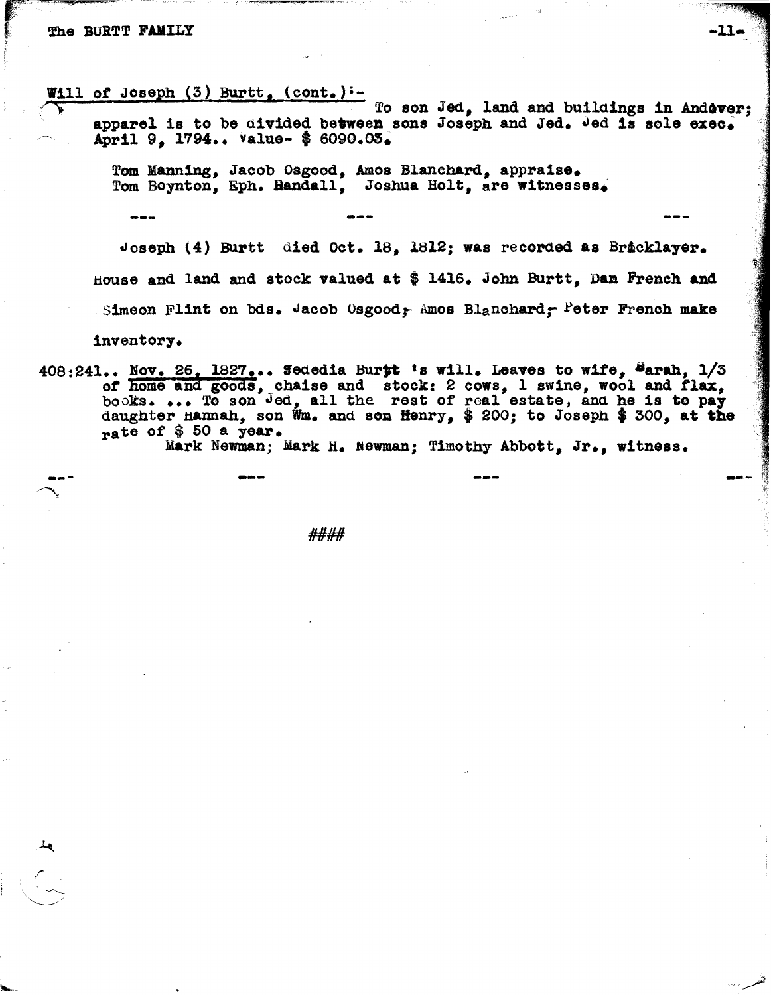#### **The BURTT FAMILY**

Will of Joseph (3) Burtt, (cont.):-<br>To son Jed, land and buildings in Andéver; apparel is to be divided between sons Joseph and Jed.  $\frac{1}{2}$  and is sole exec. April 9, 1794.. Value- \$ 6090.03.

Tom Manning, Jacob Osgood, Amos Blanchard, appraise.<br>Tom Boynton, Eph. Bandall, Joshua Holt, are witnesses.

---

Joseph (4) Burtt died Oct. 18, 1812; was recorded as Br&cklayer. House and land and stock valued at  $$$  1416. John Burtt, Dan French and Simeon Flint on bds. Jacob Osgood: Amos Blanchard, Peter French make

inventory.

 $408:241...$  Nov. 26, 1827... Sededia Burtt 's will. Leaves to wife, Sarah,  $1/3$ of home and goods, chaise and stock: 2 cows, 1 swine, wool and flax, books.... To son Jed, all the rest of real estate, and he is to pay daughter Hannah, son Wm. and son Henry,  $\frac{1}{7}$  200; to Joseph \$ 300, at the daughter Hannah, son Wm. and son Henry,  $$ 200$ ; to Joseph  $$ 500$ , at the rate of  $$ 50$  a year.<br>Mark Newman; Mark H. Newman; Timothy Abbott, Jr., witness.

--- --- --- ---

*#11##*